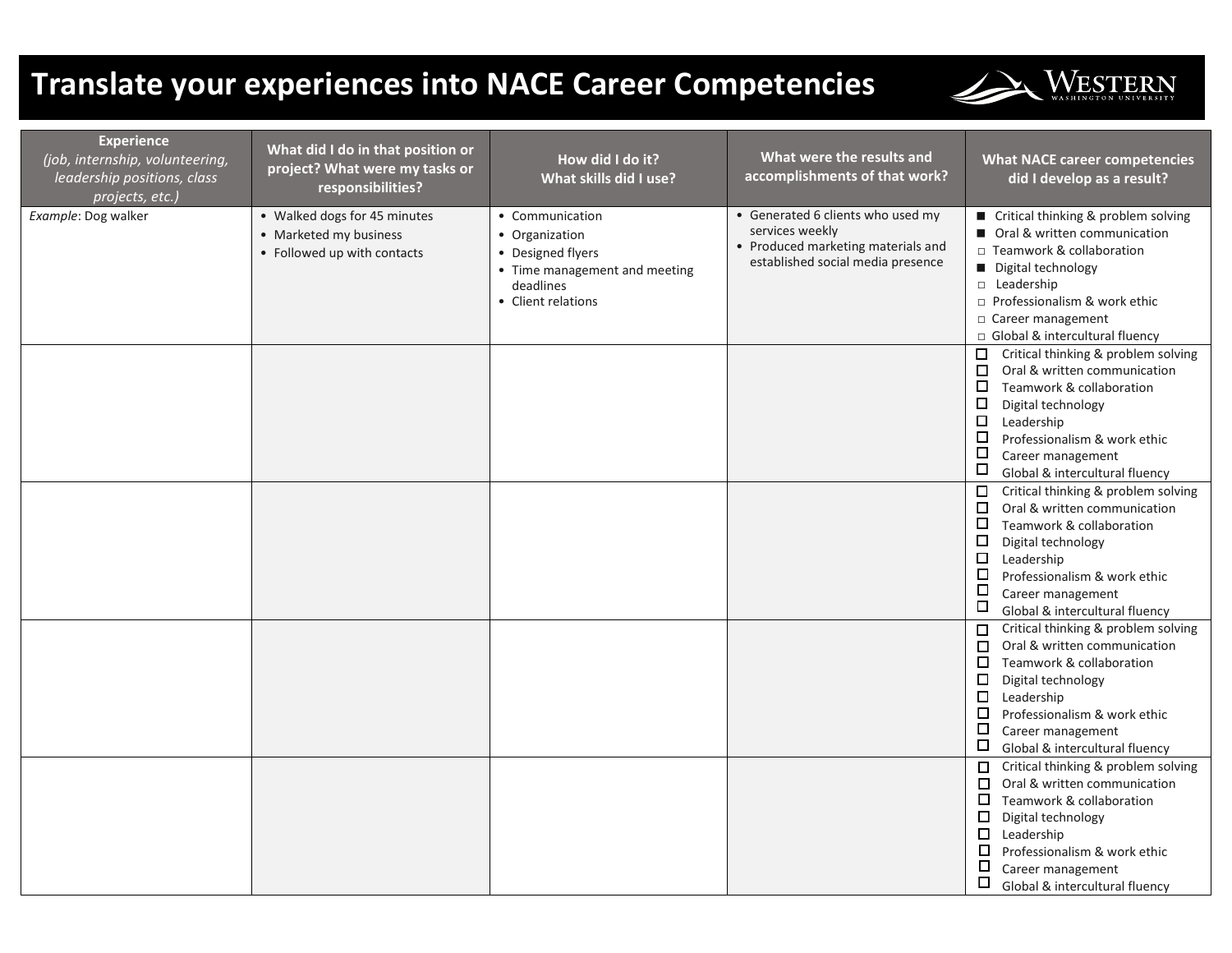## **Translate your experiences into NACE Career Competencies**



| <b>Experience</b><br>(job, internship, volunteering,<br>leadership positions, class<br>projects, etc.) | What did I do in that position or<br>project? What were my tasks or<br>responsibilities? | How did I do it?<br>What skills did I use?                                                                                 | What were the results and<br>accomplishments of that work?                                                                      | <b>What NACE career competencies</b><br>did I develop as a result?                                                                                                                                                                                                                                         |
|--------------------------------------------------------------------------------------------------------|------------------------------------------------------------------------------------------|----------------------------------------------------------------------------------------------------------------------------|---------------------------------------------------------------------------------------------------------------------------------|------------------------------------------------------------------------------------------------------------------------------------------------------------------------------------------------------------------------------------------------------------------------------------------------------------|
| Example: Dog walker                                                                                    | • Walked dogs for 45 minutes<br>• Marketed my business<br>• Followed up with contacts    | • Communication<br>• Organization<br>• Designed flyers<br>• Time management and meeting<br>deadlines<br>• Client relations | • Generated 6 clients who used my<br>services weekly<br>• Produced marketing materials and<br>established social media presence | ■ Critical thinking & problem solving<br>■ Oral & written communication<br>□ Teamwork & collaboration<br>Digital technology<br>D Leadership<br>□ Professionalism & work ethic<br>$\Box$ Career management<br>Global & intercultural fluency                                                                |
|                                                                                                        |                                                                                          |                                                                                                                            |                                                                                                                                 | Critical thinking & problem solving<br>$\Box$<br>$\Box$<br>Oral & written communication<br>$\Box$<br>Teamwork & collaboration<br>$\Box$<br>Digital technology<br>$\Box$<br>Leadership<br>$\Box$<br>Professionalism & work ethic<br>$\Box$<br>Career management<br>$\Box$<br>Global & intercultural fluency |
|                                                                                                        |                                                                                          |                                                                                                                            |                                                                                                                                 | $\Box$<br>Critical thinking & problem solving<br>Oral & written communication<br>□<br>$\Box$<br>Teamwork & collaboration<br>$\Box$<br>Digital technology<br>$\Box$<br>Leadership<br>□<br>Professionalism & work ethic<br>$\Box$<br>Career management<br>$\Box$<br>Global & intercultural fluency           |
|                                                                                                        |                                                                                          |                                                                                                                            |                                                                                                                                 | Critical thinking & problem solving<br>$\Box$<br>Oral & written communication<br>$\Box$<br>□<br>Teamwork & collaboration<br>口<br>Digital technology<br>$\Box$<br>Leadership<br>□<br>Professionalism & work ethic<br>口<br>Career management<br>$\Box$<br>Global & intercultural fluency                     |
|                                                                                                        |                                                                                          |                                                                                                                            |                                                                                                                                 | Critical thinking & problem solving<br>$\Box$<br>Oral & written communication<br>□<br>$\Box$<br>Teamwork & collaboration<br>□<br>Digital technology<br>Leadership<br>□<br>□<br>Professionalism & work ethic<br>□<br>Career management<br>$\Box$<br>Global & intercultural fluency                          |